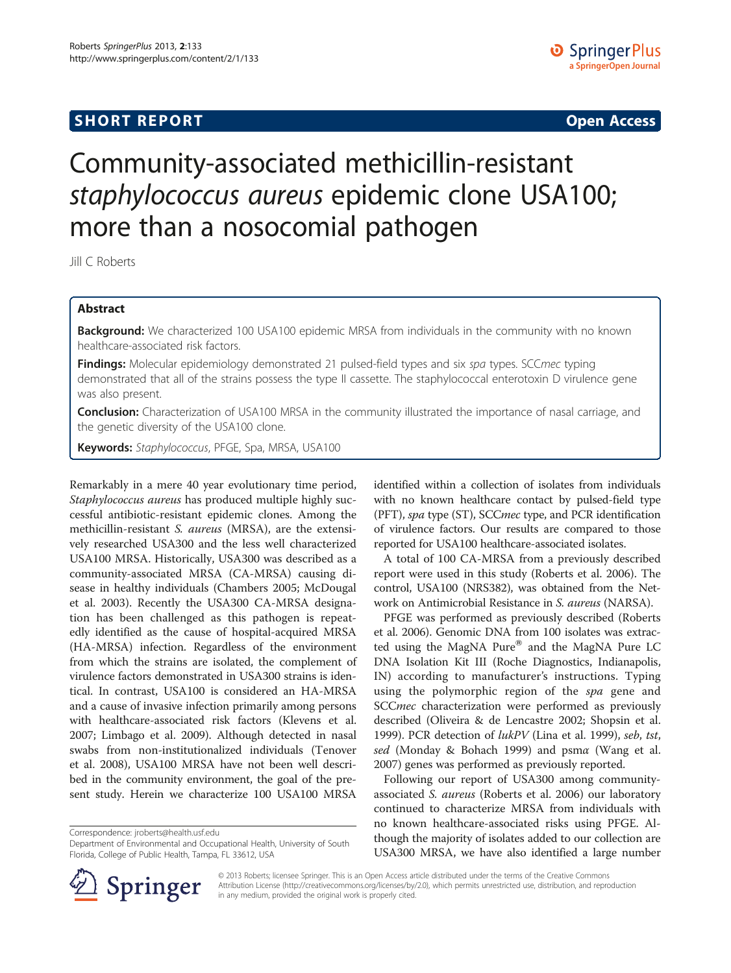## **SHORT REPORT SHORT CONSTRUCTED AT A SEXUAL CONSTRUCT OF A SEXUAL CONSTRUCTION OPEN Access**

# Community-associated methicillin-resistant staphylococcus aureus epidemic clone USA100; more than a nosocomial pathogen

Jill C Roberts

## Abstract

Background: We characterized 100 USA100 epidemic MRSA from individuals in the community with no known healthcare-associated risk factors.

Findings: Molecular epidemiology demonstrated 21 pulsed-field types and six spa types. SCCmec typing demonstrated that all of the strains possess the type II cassette. The staphylococcal enterotoxin D virulence gene was also present.

**Conclusion:** Characterization of USA100 MRSA in the community illustrated the importance of nasal carriage, and the genetic diversity of the USA100 clone.

Keywords: Staphylococcus, PFGE, Spa, MRSA, USA100

Remarkably in a mere 40 year evolutionary time period, Staphylococcus aureus has produced multiple highly successful antibiotic-resistant epidemic clones. Among the methicillin-resistant S. aureus (MRSA), are the extensively researched USA300 and the less well characterized USA100 MRSA. Historically, USA300 was described as a community-associated MRSA (CA-MRSA) causing disease in healthy individuals (Chambers [2005;](#page-2-0) McDougal et al. [2003](#page-2-0)). Recently the USA300 CA-MRSA designation has been challenged as this pathogen is repeatedly identified as the cause of hospital-acquired MRSA (HA-MRSA) infection. Regardless of the environment from which the strains are isolated, the complement of virulence factors demonstrated in USA300 strains is identical. In contrast, USA100 is considered an HA-MRSA and a cause of invasive infection primarily among persons with healthcare-associated risk factors (Klevens et al. [2007](#page-2-0); Limbago et al. [2009](#page-2-0)). Although detected in nasal swabs from non-institutionalized individuals (Tenover et al. [2008\)](#page-2-0), USA100 MRSA have not been well described in the community environment, the goal of the present study. Herein we characterize 100 USA100 MRSA

Correspondence: [jroberts@health.usf.edu](mailto:jroberts@health.usf.edu)

Department of Environmental and Occupational Health, University of South Florida, College of Public Health, Tampa, FL 33612, USA



A total of 100 CA-MRSA from a previously described report were used in this study (Roberts et al. [2006\)](#page-2-0). The control, USA100 (NRS382), was obtained from the Network on Antimicrobial Resistance in S. aureus (NARSA).

PFGE was performed as previously described (Roberts et al. [2006\)](#page-2-0). Genomic DNA from 100 isolates was extracted using the MagNA Pure $^{\circledR}$  and the MagNA Pure LC DNA Isolation Kit III (Roche Diagnostics, Indianapolis, IN) according to manufacturer's instructions. Typing using the polymorphic region of the spa gene and SCCmec characterization were performed as previously described (Oliveira & de Lencastre [2002](#page-2-0); Shopsin et al. [1999](#page-2-0)). PCR detection of lukPV (Lina et al. [1999](#page-2-0)), seb, tst, sed (Monday & Bohach [1999](#page-2-0)) and psmα (Wang et al. [2007](#page-2-0)) genes was performed as previously reported.

Following our report of USA300 among communityassociated S. aureus (Roberts et al. [2006\)](#page-2-0) our laboratory continued to characterize MRSA from individuals with no known healthcare-associated risks using PFGE. Although the majority of isolates added to our collection are USA300 MRSA, we have also identified a large number



© 2013 Roberts; licensee Springer. This is an Open Access article distributed under the terms of the Creative Commons Attribution License [\(http://creativecommons.org/licenses/by/2.0\)](http://creativecommons.org/licenses/by/2.0), which permits unrestricted use, distribution, and reproduction in any medium, provided the original work is properly cited.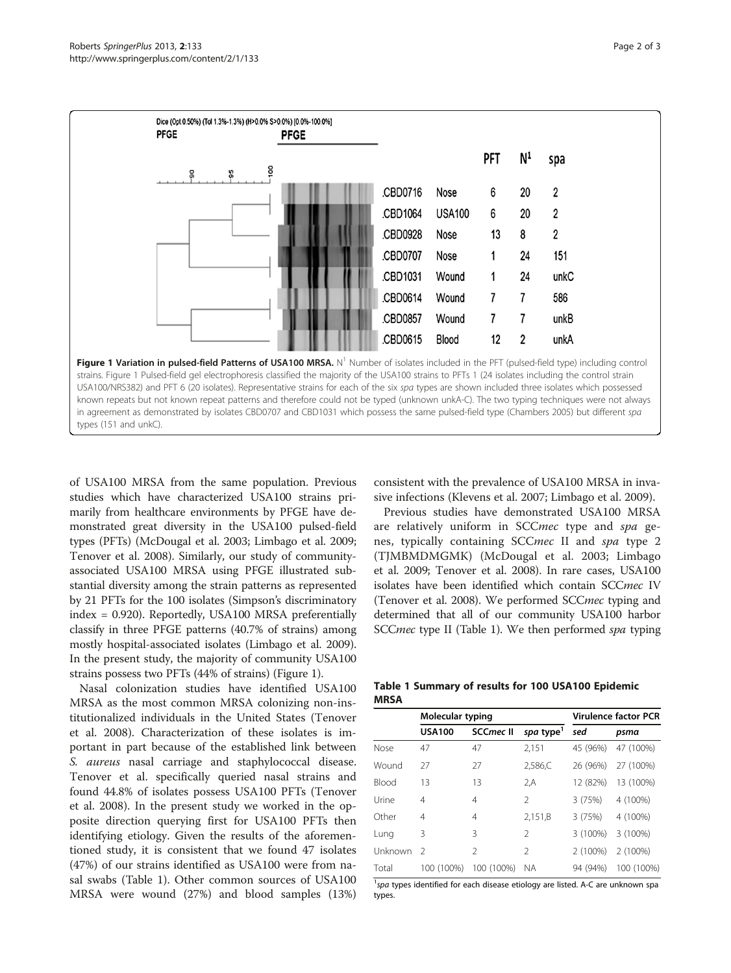<span id="page-1-0"></span>

of USA100 MRSA from the same population. Previous studies which have characterized USA100 strains primarily from healthcare environments by PFGE have demonstrated great diversity in the USA100 pulsed-field types (PFTs) (McDougal et al. [2003;](#page-2-0) Limbago et al. [2009](#page-2-0); Tenover et al. [2008\)](#page-2-0). Similarly, our study of communityassociated USA100 MRSA using PFGE illustrated substantial diversity among the strain patterns as represented by 21 PFTs for the 100 isolates (Simpson's discriminatory index = 0.920). Reportedly, USA100 MRSA preferentially classify in three PFGE patterns (40.7% of strains) among mostly hospital-associated isolates (Limbago et al. [2009](#page-2-0)). In the present study, the majority of community USA100 strains possess two PFTs (44% of strains) (Figure 1).

Nasal colonization studies have identified USA100 MRSA as the most common MRSA colonizing non-institutionalized individuals in the United States (Tenover et al. [2008](#page-2-0)). Characterization of these isolates is important in part because of the established link between S. aureus nasal carriage and staphylococcal disease. Tenover et al. specifically queried nasal strains and found 44.8% of isolates possess USA100 PFTs (Tenover et al. [2008\)](#page-2-0). In the present study we worked in the opposite direction querying first for USA100 PFTs then identifying etiology. Given the results of the aforementioned study, it is consistent that we found 47 isolates (47%) of our strains identified as USA100 were from nasal swabs (Table 1). Other common sources of USA100 MRSA were wound (27%) and blood samples (13%)

consistent with the prevalence of USA100 MRSA in invasive infections (Klevens et al. [2007](#page-2-0); Limbago et al. [2009\)](#page-2-0).

Previous studies have demonstrated USA100 MRSA are relatively uniform in SCCmec type and spa genes, typically containing SCCmec II and spa type 2 (TJMBMDMGMK) (McDougal et al. [2003;](#page-2-0) Limbago et al. [2009;](#page-2-0) Tenover et al. [2008](#page-2-0)). In rare cases, USA100 isolates have been identified which contain SCCmec IV (Tenover et al. [2008\)](#page-2-0). We performed SCCmec typing and determined that all of our community USA100 harbor SCCmec type II (Table 1). We then performed spa typing

|             | Table 1 Summary of results for 100 USA100 Epidemic |  |  |
|-------------|----------------------------------------------------|--|--|
| <b>MRSA</b> |                                                    |  |  |

|              | Molecular typing |                  | Virulence factor PCR  |          |            |
|--------------|------------------|------------------|-----------------------|----------|------------|
|              | <b>USA100</b>    | <b>SCCmec II</b> | spa type <sup>1</sup> | sed      | psma       |
| Nose         | 47               | 47               | 2,151                 | 45 (96%) | 47 (100%)  |
| Wound        | 27               | 27               | 2,586,C               | 26 (96%) | 27 (100%)  |
| <b>Blood</b> | 13               | 13               | 2.A                   | 12 (82%) | 13 (100%)  |
| Urine        | 4                | 4                | $\mathcal{P}$         | 3 (75%)  | 4 (100%)   |
| Other        | 4                | 4                | 2,151,B               | 3(75%)   | 4 (100%)   |
| Lung         | 3                | 3                | $\mathcal{P}$         | 3 (100%) | 3 (100%)   |
| Unknown      | $\mathcal{L}$    | $\mathfrak{D}$   | $\mathfrak{D}$        | 2 (100%) | 2 (100%)   |
| Total        | 100 (100%)       | 100 (100%)       | NA.                   | 94 (94%) | 100 (100%) |

 $\frac{1}{3}$  spa types identified for each disease etiology are listed. A-C are unknown spa<br>types types.